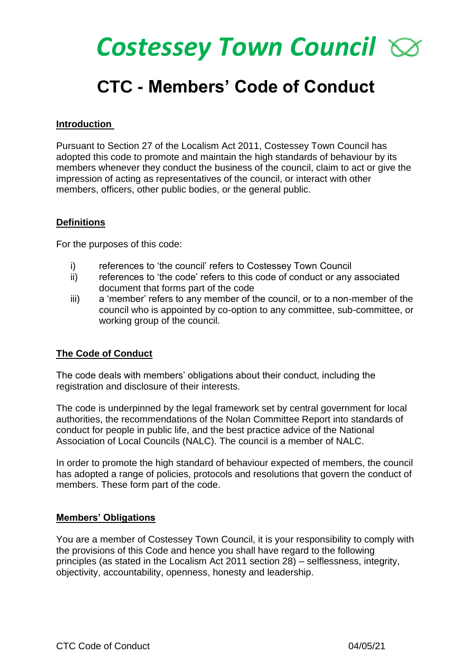# *Costessey Town Council*

## **CTC - Members' Code of Conduct**

#### **Introduction**

Pursuant to Section 27 of the Localism Act 2011, Costessey Town Council has adopted this code to promote and maintain the high standards of behaviour by its members whenever they conduct the business of the council, claim to act or give the impression of acting as representatives of the council, or interact with other members, officers, other public bodies, or the general public.

#### **Definitions**

For the purposes of this code:

- i) references to 'the council' refers to Costessey Town Council
- ii) references to 'the code' refers to this code of conduct or any associated document that forms part of the code
- iii) a 'member' refers to any member of the council, or to a non-member of the council who is appointed by co-option to any committee, sub-committee, or working group of the council.

#### **The Code of Conduct**

The code deals with members' obligations about their conduct, including the registration and disclosure of their interests.

The code is underpinned by the legal framework set by central government for local authorities, the recommendations of the Nolan Committee Report into standards of conduct for people in public life, and the best practice advice of the National Association of Local Councils (NALC). The council is a member of NALC.

In order to promote the high standard of behaviour expected of members, the council has adopted a range of policies, protocols and resolutions that govern the conduct of members. These form part of the code.

#### **Members' Obligations**

You are a member of Costessey Town Council, it is your responsibility to comply with the provisions of this Code and hence you shall have regard to the following principles (as stated in the Localism Act 2011 section 28) – selflessness, integrity, objectivity, accountability, openness, honesty and leadership.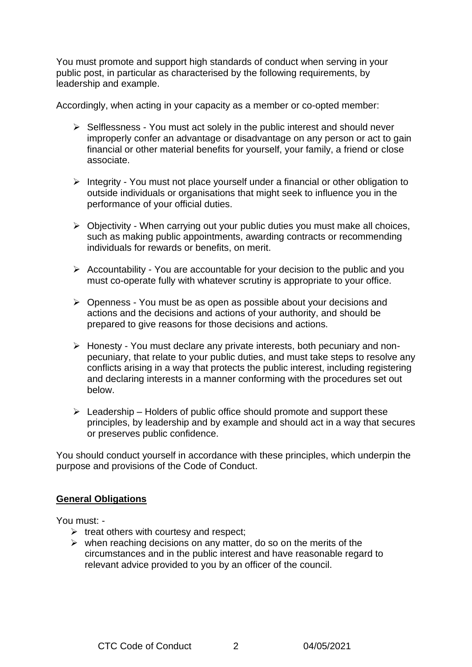You must promote and support high standards of conduct when serving in your public post, in particular as characterised by the following requirements, by leadership and example.

Accordingly, when acting in your capacity as a member or co-opted member:

- ➢ Selflessness You must act solely in the public interest and should never improperly confer an advantage or disadvantage on any person or act to gain financial or other material benefits for yourself, your family, a friend or close associate.
- ➢ Integrity You must not place yourself under a financial or other obligation to outside individuals or organisations that might seek to influence you in the performance of your official duties.
- ➢ Objectivity When carrying out your public duties you must make all choices, such as making public appointments, awarding contracts or recommending individuals for rewards or benefits, on merit.
- $\triangleright$  Accountability You are accountable for your decision to the public and you must co-operate fully with whatever scrutiny is appropriate to your office.
- ➢ Openness You must be as open as possible about your decisions and actions and the decisions and actions of your authority, and should be prepared to give reasons for those decisions and actions.
- ➢ Honesty You must declare any private interests, both pecuniary and nonpecuniary, that relate to your public duties, and must take steps to resolve any conflicts arising in a way that protects the public interest, including registering and declaring interests in a manner conforming with the procedures set out below.
- $\triangleright$  Leadership Holders of public office should promote and support these principles, by leadership and by example and should act in a way that secures or preserves public confidence.

You should conduct yourself in accordance with these principles, which underpin the purpose and provisions of the Code of Conduct.

#### **General Obligations**

You must: -

- $\triangleright$  treat others with courtesy and respect;
- $\triangleright$  when reaching decisions on any matter, do so on the merits of the circumstances and in the public interest and have reasonable regard to relevant advice provided to you by an officer of the council.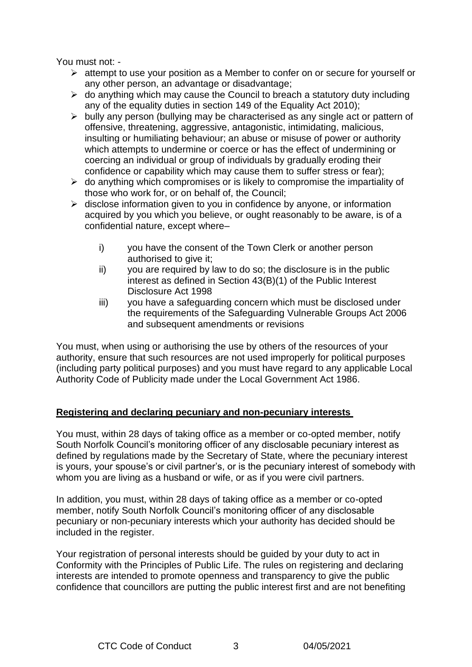You must not: -

- $\triangleright$  attempt to use your position as a Member to confer on or secure for yourself or any other person, an advantage or disadvantage;
- $\triangleright$  do anything which may cause the Council to breach a statutory duty including any of the equality duties in section 149 of the Equality Act 2010);
- ➢ bully any person (bullying may be characterised as any single act or pattern of offensive, threatening, aggressive, antagonistic, intimidating, malicious, insulting or humiliating behaviour; an abuse or misuse of power or authority which attempts to undermine or coerce or has the effect of undermining or coercing an individual or group of individuals by gradually eroding their confidence or capability which may cause them to suffer stress or fear);
- $\triangleright$  do anything which compromises or is likely to compromise the impartiality of those who work for, or on behalf of, the Council;
- $\triangleright$  disclose information given to you in confidence by anyone, or information acquired by you which you believe, or ought reasonably to be aware, is of a confidential nature, except where–
	- i) you have the consent of the Town Clerk or another person authorised to give it;
	- ii) you are required by law to do so; the disclosure is in the public interest as defined in Section 43(B)(1) of the Public Interest Disclosure Act 1998
	- iii) you have a safeguarding concern which must be disclosed under the requirements of the Safeguarding Vulnerable Groups Act 2006 and subsequent amendments or revisions

You must, when using or authorising the use by others of the resources of your authority, ensure that such resources are not used improperly for political purposes (including party political purposes) and you must have regard to any applicable Local Authority Code of Publicity made under the Local Government Act 1986.

#### **Registering and declaring pecuniary and non-pecuniary interests**

You must, within 28 days of taking office as a member or co-opted member, notify South Norfolk Council's monitoring officer of any disclosable pecuniary interest as defined by regulations made by the Secretary of State, where the pecuniary interest is yours, your spouse's or civil partner's, or is the pecuniary interest of somebody with whom you are living as a husband or wife, or as if you were civil partners.

In addition, you must, within 28 days of taking office as a member or co-opted member, notify South Norfolk Council's monitoring officer of any disclosable pecuniary or non-pecuniary interests which your authority has decided should be included in the register.

Your registration of personal interests should be guided by your duty to act in Conformity with the Principles of Public Life. The rules on registering and declaring interests are intended to promote openness and transparency to give the public confidence that councillors are putting the public interest first and are not benefiting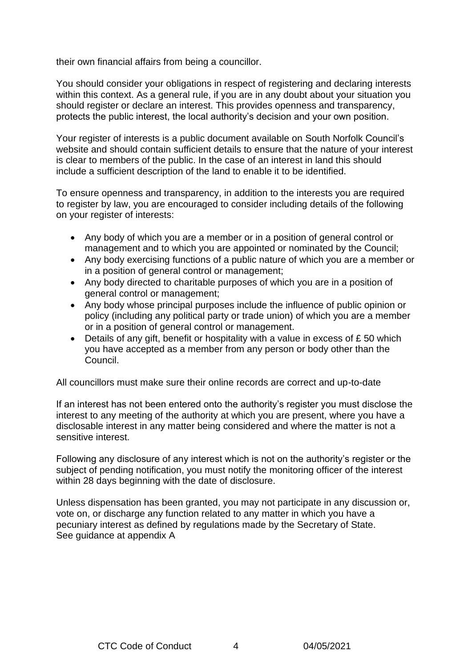their own financial affairs from being a councillor.

You should consider your obligations in respect of registering and declaring interests within this context. As a general rule, if you are in any doubt about your situation you should register or declare an interest. This provides openness and transparency, protects the public interest, the local authority's decision and your own position.

Your register of interests is a public document available on South Norfolk Council's website and should contain sufficient details to ensure that the nature of your interest is clear to members of the public. In the case of an interest in land this should include a sufficient description of the land to enable it to be identified.

To ensure openness and transparency, in addition to the interests you are required to register by law, you are encouraged to consider including details of the following on your register of interests:

- Any body of which you are a member or in a position of general control or management and to which you are appointed or nominated by the Council;
- Any body exercising functions of a public nature of which you are a member or in a position of general control or management;
- Any body directed to charitable purposes of which you are in a position of general control or management;
- Any body whose principal purposes include the influence of public opinion or policy (including any political party or trade union) of which you are a member or in a position of general control or management.
- Details of any gift, benefit or hospitality with a value in excess of  $E$  50 which you have accepted as a member from any person or body other than the Council.

All councillors must make sure their online records are correct and up-to-date

If an interest has not been entered onto the authority's register you must disclose the interest to any meeting of the authority at which you are present, where you have a disclosable interest in any matter being considered and where the matter is not a sensitive interest.

Following any disclosure of any interest which is not on the authority's register or the subject of pending notification, you must notify the monitoring officer of the interest within 28 days beginning with the date of disclosure.

Unless dispensation has been granted, you may not participate in any discussion or, vote on, or discharge any function related to any matter in which you have a pecuniary interest as defined by regulations made by the Secretary of State. See guidance at appendix A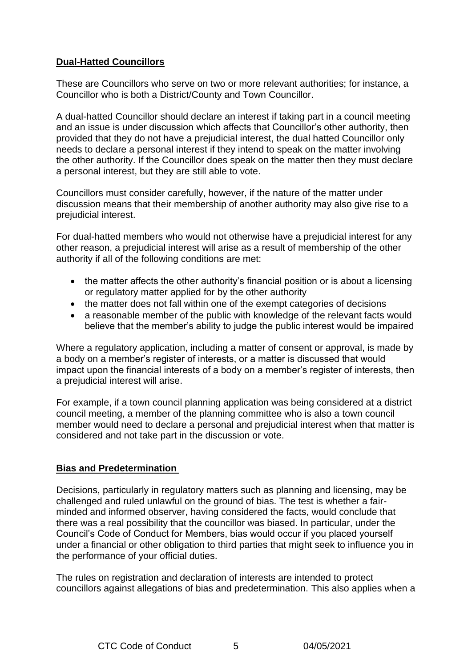#### **Dual-Hatted Councillors**

These are Councillors who serve on two or more relevant authorities; for instance, a Councillor who is both a District/County and Town Councillor.

A dual-hatted Councillor should declare an interest if taking part in a council meeting and an issue is under discussion which affects that Councillor's other authority, then provided that they do not have a prejudicial interest, the dual hatted Councillor only needs to declare a personal interest if they intend to speak on the matter involving the other authority. If the Councillor does speak on the matter then they must declare a personal interest, but they are still able to vote.

Councillors must consider carefully, however, if the nature of the matter under discussion means that their membership of another authority may also give rise to a prejudicial interest.

For dual-hatted members who would not otherwise have a prejudicial interest for any other reason, a prejudicial interest will arise as a result of membership of the other authority if all of the following conditions are met:

- the matter affects the other authority's financial position or is about a licensing or regulatory matter applied for by the other authority
- the matter does not fall within one of the exempt categories of decisions
- a reasonable member of the public with knowledge of the relevant facts would believe that the member's ability to judge the public interest would be impaired

Where a regulatory application, including a matter of consent or approval, is made by a body on a member's register of interests, or a matter is discussed that would impact upon the financial interests of a body on a member's register of interests, then a prejudicial interest will arise.

For example, if a town council planning application was being considered at a district council meeting, a member of the planning committee who is also a town council member would need to declare a personal and prejudicial interest when that matter is considered and not take part in the discussion or vote.

#### **Bias and Predetermination**

Decisions, particularly in regulatory matters such as planning and licensing, may be challenged and ruled unlawful on the ground of bias. The test is whether a fairminded and informed observer, having considered the facts, would conclude that there was a real possibility that the councillor was biased. In particular, under the Council's Code of Conduct for Members, bias would occur if you placed yourself under a financial or other obligation to third parties that might seek to influence you in the performance of your official duties.

The rules on registration and declaration of interests are intended to protect councillors against allegations of bias and predetermination. This also applies when a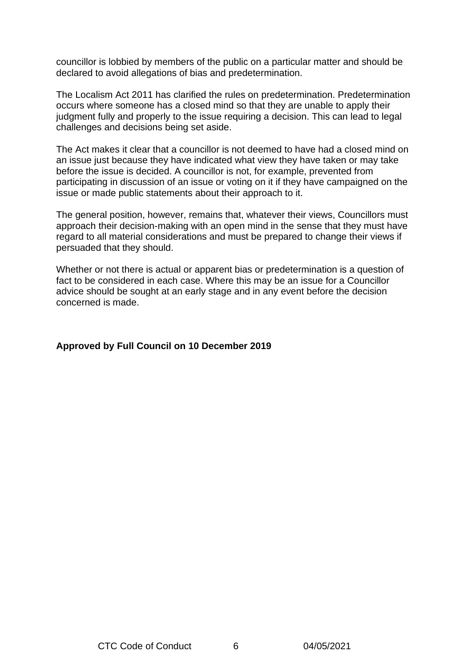councillor is lobbied by members of the public on a particular matter and should be declared to avoid allegations of bias and predetermination.

The Localism Act 2011 has clarified the rules on predetermination. Predetermination occurs where someone has a closed mind so that they are unable to apply their judgment fully and properly to the issue requiring a decision. This can lead to legal challenges and decisions being set aside.

The Act makes it clear that a councillor is not deemed to have had a closed mind on an issue just because they have indicated what view they have taken or may take before the issue is decided. A councillor is not, for example, prevented from participating in discussion of an issue or voting on it if they have campaigned on the issue or made public statements about their approach to it.

The general position, however, remains that, whatever their views, Councillors must approach their decision-making with an open mind in the sense that they must have regard to all material considerations and must be prepared to change their views if persuaded that they should.

Whether or not there is actual or apparent bias or predetermination is a question of fact to be considered in each case. Where this may be an issue for a Councillor advice should be sought at an early stage and in any event before the decision concerned is made.

#### **Approved by Full Council on 10 December 2019**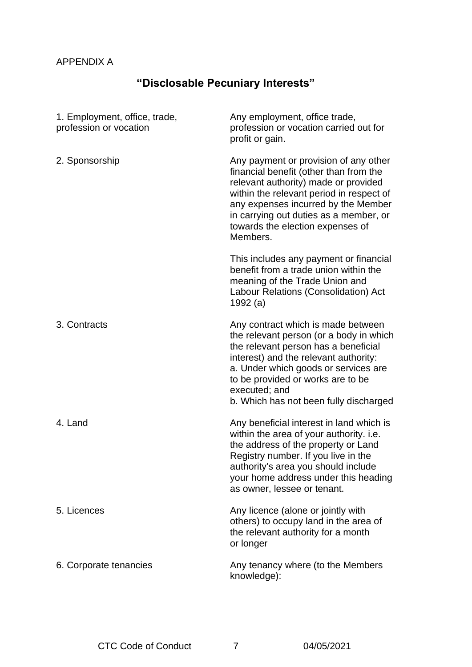#### APPENDIX A

### **"Disclosable Pecuniary Interests"**

| 1. Employment, office, trade,<br>profession or vocation | Any employment, office trade,<br>profession or vocation carried out for<br>profit or gain.                                                                                                                                                                                                             |
|---------------------------------------------------------|--------------------------------------------------------------------------------------------------------------------------------------------------------------------------------------------------------------------------------------------------------------------------------------------------------|
| 2. Sponsorship                                          | Any payment or provision of any other<br>financial benefit (other than from the<br>relevant authority) made or provided<br>within the relevant period in respect of<br>any expenses incurred by the Member<br>in carrying out duties as a member, or<br>towards the election expenses of<br>Members.   |
|                                                         | This includes any payment or financial<br>benefit from a trade union within the<br>meaning of the Trade Union and<br>Labour Relations (Consolidation) Act<br>1992 (a)                                                                                                                                  |
| 3. Contracts                                            | Any contract which is made between<br>the relevant person (or a body in which<br>the relevant person has a beneficial<br>interest) and the relevant authority:<br>a. Under which goods or services are<br>to be provided or works are to be<br>executed; and<br>b. Which has not been fully discharged |
| 4. Land                                                 | Any beneficial interest in land which is<br>within the area of your authority. i.e.<br>the address of the property or Land<br>Registry number. If you live in the<br>authority's area you should include<br>your home address under this heading<br>as owner, lessee or tenant.                        |
| 5. Licences                                             | Any licence (alone or jointly with<br>others) to occupy land in the area of<br>the relevant authority for a month<br>or longer                                                                                                                                                                         |
| 6. Corporate tenancies                                  | Any tenancy where (to the Members<br>knowledge):                                                                                                                                                                                                                                                       |